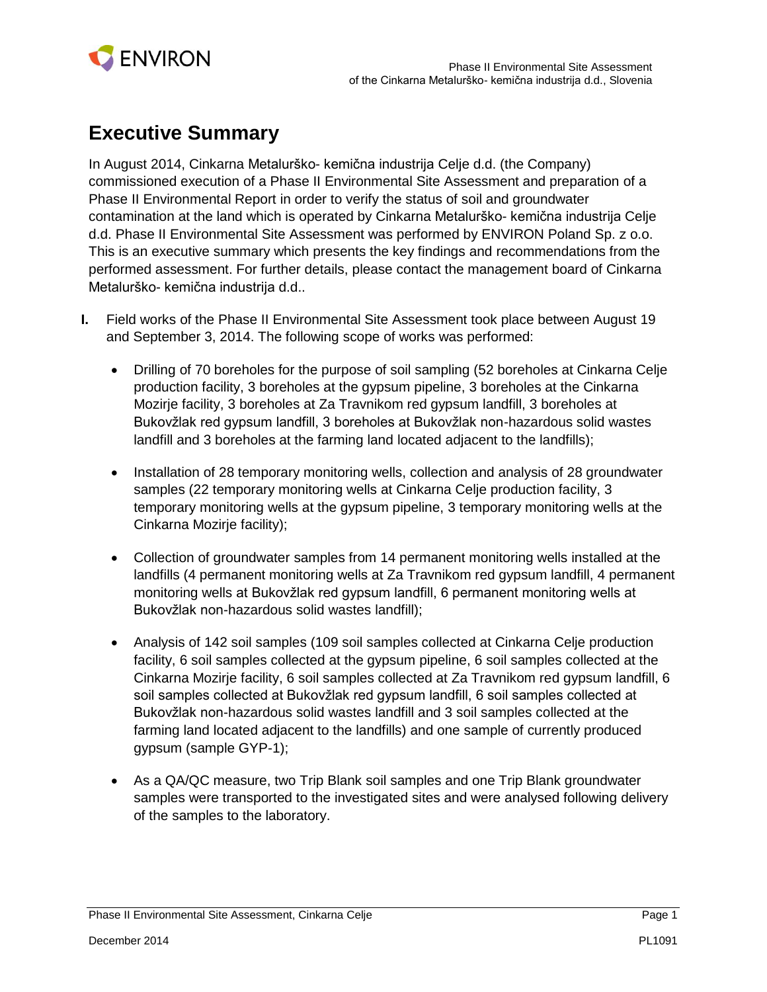

## **Executive Summary**

In August 2014, Cinkarna Metalurško- kemična industrija Celje d.d. (the Company) commissioned execution of a Phase II Environmental Site Assessment and preparation of a Phase II Environmental Report in order to verify the status of soil and groundwater contamination at the land which is operated by Cinkarna Metalurško- kemična industrija Celje d.d. Phase II Environmental Site Assessment was performed by ENVIRON Poland Sp. z o.o. This is an executive summary which presents the key findings and recommendations from the performed assessment. For further details, please contact the management board of Cinkarna Metalurško- kemična industrija d.d..

- **I.** Field works of the Phase II Environmental Site Assessment took place between August 19 and September 3, 2014. The following scope of works was performed:
	- Drilling of 70 boreholes for the purpose of soil sampling (52 boreholes at Cinkarna Celje production facility, 3 boreholes at the gypsum pipeline, 3 boreholes at the Cinkarna Mozirje facility, 3 boreholes at Za Travnikom red gypsum landfill, 3 boreholes at Bukovžlak red gypsum landfill, 3 boreholes at Bukovžlak non-hazardous solid wastes landfill and 3 boreholes at the farming land located adjacent to the landfills);
	- Installation of 28 temporary monitoring wells, collection and analysis of 28 groundwater samples (22 temporary monitoring wells at Cinkarna Celje production facility, 3 temporary monitoring wells at the gypsum pipeline, 3 temporary monitoring wells at the Cinkarna Mozirje facility);
	- Collection of groundwater samples from 14 permanent monitoring wells installed at the landfills (4 permanent monitoring wells at Za Travnikom red gypsum landfill, 4 permanent monitoring wells at Bukovžlak red gypsum landfill, 6 permanent monitoring wells at Bukovžlak non-hazardous solid wastes landfill);
	- Analysis of 142 soil samples (109 soil samples collected at Cinkarna Celje production facility, 6 soil samples collected at the gypsum pipeline, 6 soil samples collected at the Cinkarna Mozirje facility, 6 soil samples collected at Za Travnikom red gypsum landfill, 6 soil samples collected at Bukovžlak red gypsum landfill, 6 soil samples collected at Bukovžlak non-hazardous solid wastes landfill and 3 soil samples collected at the farming land located adjacent to the landfills) and one sample of currently produced gypsum (sample GYP-1);
	- As a QA/QC measure, two Trip Blank soil samples and one Trip Blank groundwater samples were transported to the investigated sites and were analysed following delivery of the samples to the laboratory.

Phase II Environmental Site Assessment, Cinkarna Celje **Page 1** and Page 1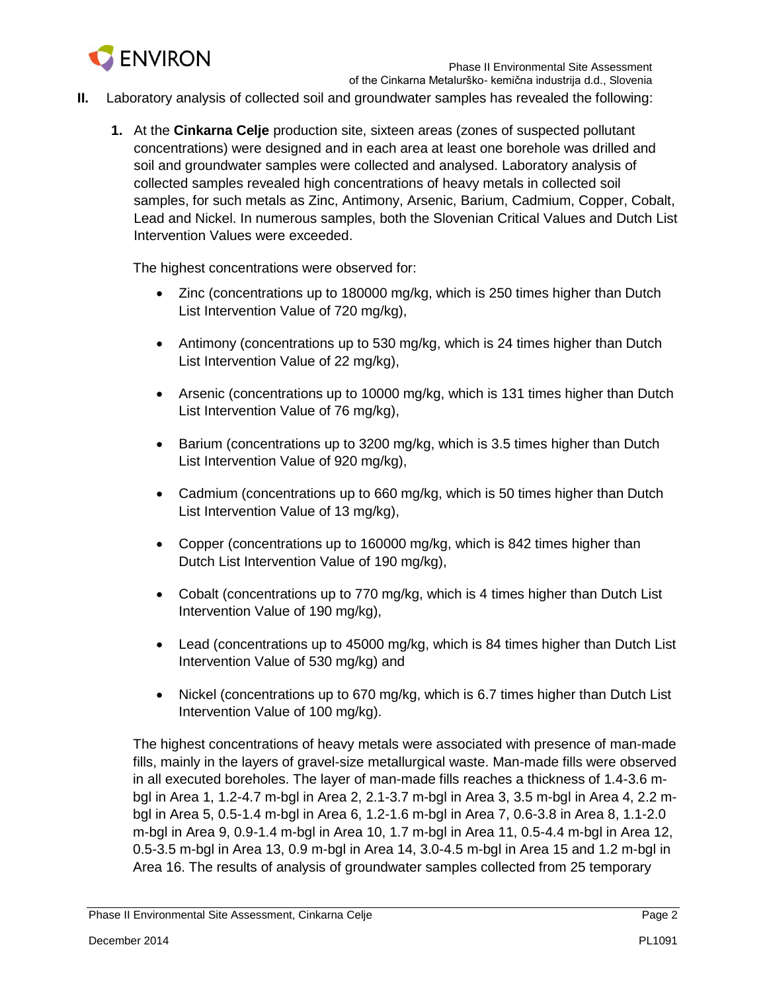

- **II.** Laboratory analysis of collected soil and groundwater samples has revealed the following:
	- **1.** At the **Cinkarna Celje** production site, sixteen areas (zones of suspected pollutant concentrations) were designed and in each area at least one borehole was drilled and soil and groundwater samples were collected and analysed. Laboratory analysis of collected samples revealed high concentrations of heavy metals in collected soil samples, for such metals as Zinc, Antimony, Arsenic, Barium, Cadmium, Copper, Cobalt, Lead and Nickel. In numerous samples, both the Slovenian Critical Values and Dutch List Intervention Values were exceeded.

The highest concentrations were observed for:

- Zinc (concentrations up to 180000 mg/kg, which is 250 times higher than Dutch List Intervention Value of 720 mg/kg),
- Antimony (concentrations up to 530 mg/kg, which is 24 times higher than Dutch List Intervention Value of 22 mg/kg),
- Arsenic (concentrations up to 10000 mg/kg, which is 131 times higher than Dutch List Intervention Value of 76 mg/kg),
- Barium (concentrations up to 3200 mg/kg, which is 3.5 times higher than Dutch List Intervention Value of 920 mg/kg),
- Cadmium (concentrations up to 660 mg/kg, which is 50 times higher than Dutch List Intervention Value of 13 mg/kg),
- Copper (concentrations up to 160000 mg/kg, which is 842 times higher than Dutch List Intervention Value of 190 mg/kg),
- Cobalt (concentrations up to 770 mg/kg, which is 4 times higher than Dutch List Intervention Value of 190 mg/kg),
- Lead (concentrations up to 45000 mg/kg, which is 84 times higher than Dutch List Intervention Value of 530 mg/kg) and
- Nickel (concentrations up to 670 mg/kg, which is 6.7 times higher than Dutch List Intervention Value of 100 mg/kg).

The highest concentrations of heavy metals were associated with presence of man-made fills, mainly in the layers of gravel-size metallurgical waste. Man-made fills were observed in all executed boreholes. The layer of man-made fills reaches a thickness of 1.4-3.6 mbgl in Area 1, 1.2-4.7 m-bgl in Area 2, 2.1-3.7 m-bgl in Area 3, 3.5 m-bgl in Area 4, 2.2 mbgl in Area 5, 0.5-1.4 m-bgl in Area 6, 1.2-1.6 m-bgl in Area 7, 0.6-3.8 in Area 8, 1.1-2.0 m-bgl in Area 9, 0.9-1.4 m-bgl in Area 10, 1.7 m-bgl in Area 11, 0.5-4.4 m-bgl in Area 12, 0.5-3.5 m-bgl in Area 13, 0.9 m-bgl in Area 14, 3.0-4.5 m-bgl in Area 15 and 1.2 m-bgl in Area 16. The results of analysis of groundwater samples collected from 25 temporary

Phase II Environmental Site Assessment, Cinkarna Celje **Page 2 Page 2 Page 2**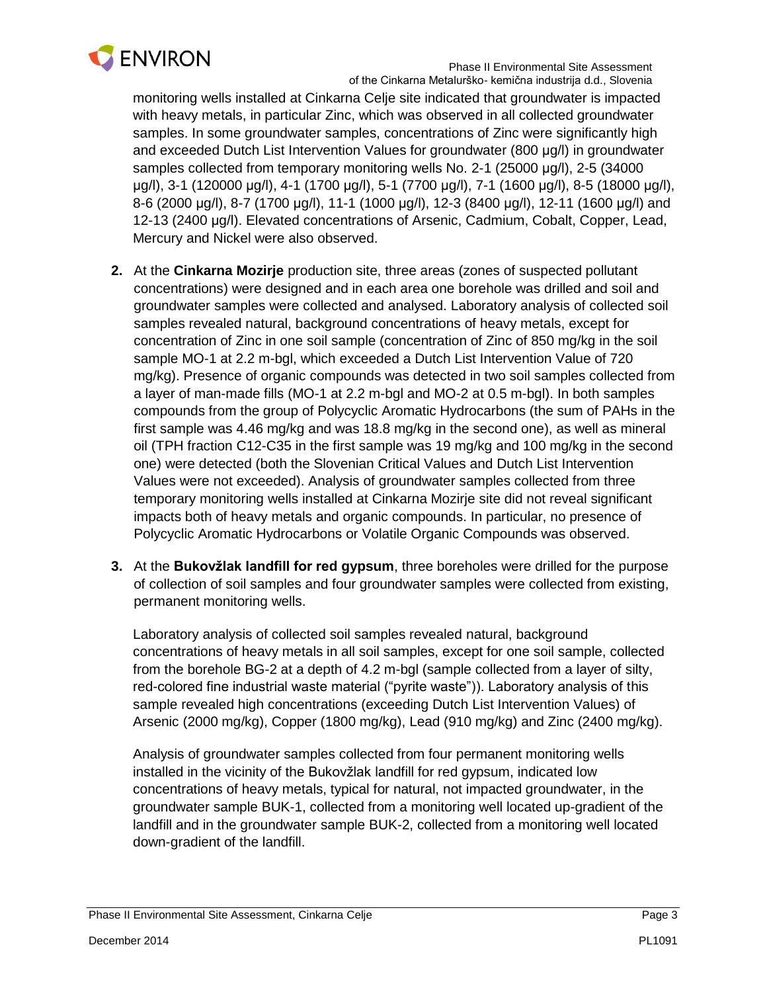

monitoring wells installed at Cinkarna Celje site indicated that groundwater is impacted with heavy metals, in particular Zinc, which was observed in all collected groundwater samples. In some groundwater samples, concentrations of Zinc were significantly high and exceeded Dutch List Intervention Values for groundwater (800 µg/l) in groundwater samples collected from temporary monitoring wells No. 2-1 (25000 µg/l), 2-5 (34000 µg/l), 3-1 (120000 µg/l), 4-1 (1700 µg/l), 5-1 (7700 µg/l), 7-1 (1600 µg/l), 8-5 (18000 µg/l), 8-6 (2000 µg/l), 8-7 (1700 µg/l), 11-1 (1000 µg/l), 12-3 (8400 µg/l), 12-11 (1600 µg/l) and 12-13 (2400 µg/l). Elevated concentrations of Arsenic, Cadmium, Cobalt, Copper, Lead, Mercury and Nickel were also observed.

- **2.** At the **Cinkarna Mozirje** production site, three areas (zones of suspected pollutant concentrations) were designed and in each area one borehole was drilled and soil and groundwater samples were collected and analysed. Laboratory analysis of collected soil samples revealed natural, background concentrations of heavy metals, except for concentration of Zinc in one soil sample (concentration of Zinc of 850 mg/kg in the soil sample MO-1 at 2.2 m-bgl, which exceeded a Dutch List Intervention Value of 720 mg/kg). Presence of organic compounds was detected in two soil samples collected from a layer of man-made fills (MO-1 at 2.2 m-bgl and MO-2 at 0.5 m-bgl). In both samples compounds from the group of Polycyclic Aromatic Hydrocarbons (the sum of PAHs in the first sample was 4.46 mg/kg and was 18.8 mg/kg in the second one), as well as mineral oil (TPH fraction C12-C35 in the first sample was 19 mg/kg and 100 mg/kg in the second one) were detected (both the Slovenian Critical Values and Dutch List Intervention Values were not exceeded). Analysis of groundwater samples collected from three temporary monitoring wells installed at Cinkarna Mozirje site did not reveal significant impacts both of heavy metals and organic compounds. In particular, no presence of Polycyclic Aromatic Hydrocarbons or Volatile Organic Compounds was observed.
- **3.** At the **Bukovžlak landfill for red gypsum**, three boreholes were drilled for the purpose of collection of soil samples and four groundwater samples were collected from existing, permanent monitoring wells.

Laboratory analysis of collected soil samples revealed natural, background concentrations of heavy metals in all soil samples, except for one soil sample, collected from the borehole BG-2 at a depth of 4.2 m-bgl (sample collected from a layer of silty, red-colored fine industrial waste material ("pyrite waste")). Laboratory analysis of this sample revealed high concentrations (exceeding Dutch List Intervention Values) of Arsenic (2000 mg/kg), Copper (1800 mg/kg), Lead (910 mg/kg) and Zinc (2400 mg/kg).

Analysis of groundwater samples collected from four permanent monitoring wells installed in the vicinity of the Bukovžlak landfill for red gypsum, indicated low concentrations of heavy metals, typical for natural, not impacted groundwater, in the groundwater sample BUK-1, collected from a monitoring well located up-gradient of the landfill and in the groundwater sample BUK-2, collected from a monitoring well located down-gradient of the landfill.

Phase II Environmental Site Assessment, Cinkarna Celje **Page 3** and the page 3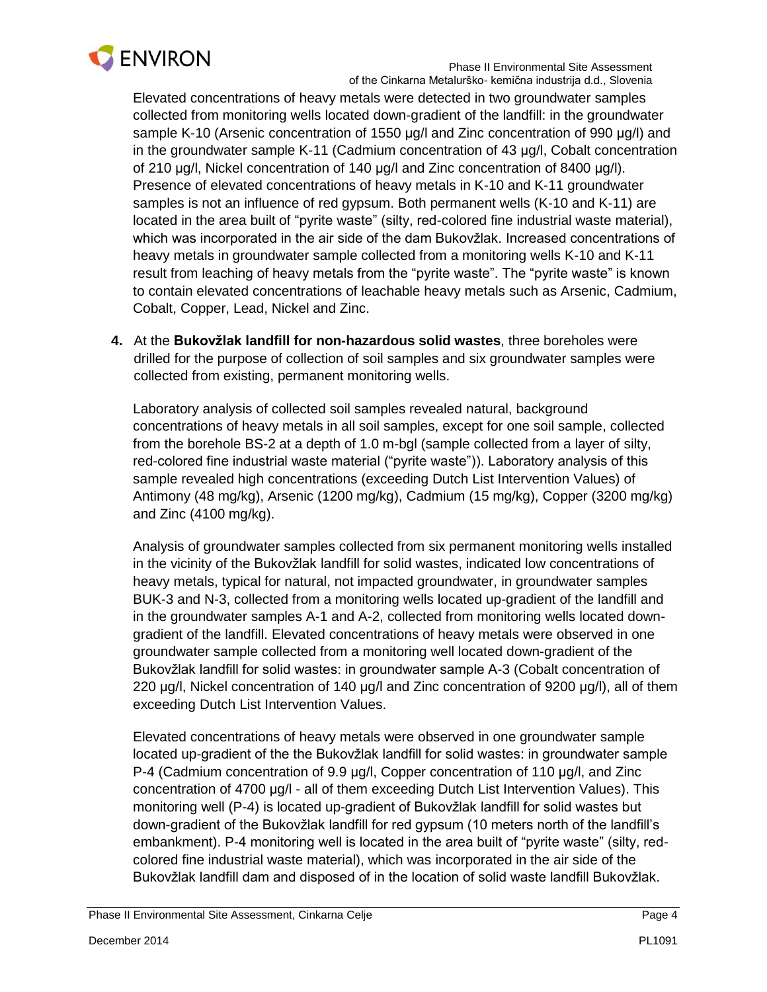

Elevated concentrations of heavy metals were detected in two groundwater samples collected from monitoring wells located down-gradient of the landfill: in the groundwater sample K-10 (Arsenic concentration of 1550 µg/l and Zinc concentration of 990 µg/l) and in the groundwater sample K-11 (Cadmium concentration of 43 µg/l, Cobalt concentration of 210 µg/l, Nickel concentration of 140 µg/l and Zinc concentration of 8400 µg/l). Presence of elevated concentrations of heavy metals in K-10 and K-11 groundwater samples is not an influence of red gypsum. Both permanent wells (K-10 and K-11) are located in the area built of "pyrite waste" (silty, red-colored fine industrial waste material), which was incorporated in the air side of the dam Bukovžlak. Increased concentrations of heavy metals in groundwater sample collected from a monitoring wells K-10 and K-11 result from leaching of heavy metals from the "pyrite waste". The "pyrite waste" is known to contain elevated concentrations of leachable heavy metals such as Arsenic, Cadmium, Cobalt, Copper, Lead, Nickel and Zinc.

**4.** At the **Bukovžlak landfill for non-hazardous solid wastes**, three boreholes were drilled for the purpose of collection of soil samples and six groundwater samples were collected from existing, permanent monitoring wells.

Laboratory analysis of collected soil samples revealed natural, background concentrations of heavy metals in all soil samples, except for one soil sample, collected from the borehole BS-2 at a depth of 1.0 m-bgl (sample collected from a layer of silty, red-colored fine industrial waste material ("pyrite waste")). Laboratory analysis of this sample revealed high concentrations (exceeding Dutch List Intervention Values) of Antimony (48 mg/kg), Arsenic (1200 mg/kg), Cadmium (15 mg/kg), Copper (3200 mg/kg) and Zinc (4100 mg/kg).

Analysis of groundwater samples collected from six permanent monitoring wells installed in the vicinity of the Bukovžlak landfill for solid wastes, indicated low concentrations of heavy metals, typical for natural, not impacted groundwater, in groundwater samples BUK-3 and N-3, collected from a monitoring wells located up-gradient of the landfill and in the groundwater samples A-1 and A-2, collected from monitoring wells located downgradient of the landfill. Elevated concentrations of heavy metals were observed in one groundwater sample collected from a monitoring well located down-gradient of the Bukovžlak landfill for solid wastes: in groundwater sample A-3 (Cobalt concentration of 220 µg/l, Nickel concentration of 140 µg/l and Zinc concentration of 9200 µg/l), all of them exceeding Dutch List Intervention Values.

Elevated concentrations of heavy metals were observed in one groundwater sample located up-gradient of the the Bukovžlak landfill for solid wastes: in groundwater sample P-4 (Cadmium concentration of 9.9 µg/l, Copper concentration of 110 µg/l, and Zinc concentration of 4700 µg/l - all of them exceeding Dutch List Intervention Values). This monitoring well (P-4) is located up-gradient of Bukovžlak landfill for solid wastes but down-gradient of the Bukovžlak landfill for red gypsum (10 meters north of the landfill's embankment). P-4 monitoring well is located in the area built of "pyrite waste" (silty, redcolored fine industrial waste material), which was incorporated in the air side of the Bukovžlak landfill dam and disposed of in the location of solid waste landfill Bukovžlak.

Phase II Environmental Site Assessment, Cinkarna Celje **Page 4** Page 4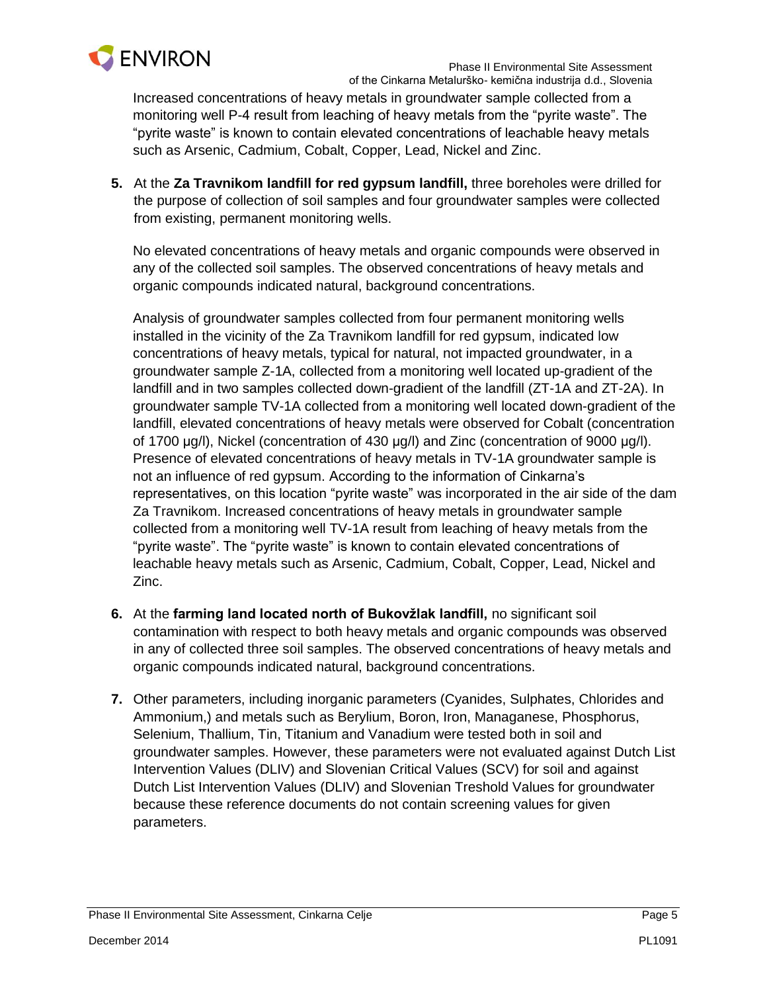

Increased concentrations of heavy metals in groundwater sample collected from a monitoring well P-4 result from leaching of heavy metals from the "pyrite waste". The "pyrite waste" is known to contain elevated concentrations of leachable heavy metals such as Arsenic, Cadmium, Cobalt, Copper, Lead, Nickel and Zinc.

**5.** At the **Za Travnikom landfill for red gypsum landfill,** three boreholes were drilled for the purpose of collection of soil samples and four groundwater samples were collected from existing, permanent monitoring wells.

No elevated concentrations of heavy metals and organic compounds were observed in any of the collected soil samples. The observed concentrations of heavy metals and organic compounds indicated natural, background concentrations.

Analysis of groundwater samples collected from four permanent monitoring wells installed in the vicinity of the Za Travnikom landfill for red gypsum, indicated low concentrations of heavy metals, typical for natural, not impacted groundwater, in a groundwater sample Z-1A, collected from a monitoring well located up-gradient of the landfill and in two samples collected down-gradient of the landfill (ZT-1A and ZT-2A). In groundwater sample TV-1A collected from a monitoring well located down-gradient of the landfill, elevated concentrations of heavy metals were observed for Cobalt (concentration of 1700 µg/l), Nickel (concentration of 430 µg/l) and Zinc (concentration of 9000 µg/l). Presence of elevated concentrations of heavy metals in TV-1A groundwater sample is not an influence of red gypsum. According to the information of Cinkarna's representatives, on this location "pyrite waste" was incorporated in the air side of the dam Za Travnikom. Increased concentrations of heavy metals in groundwater sample collected from a monitoring well TV-1A result from leaching of heavy metals from the "pyrite waste". The "pyrite waste" is known to contain elevated concentrations of leachable heavy metals such as Arsenic, Cadmium, Cobalt, Copper, Lead, Nickel and Zinc.

- **6.** At the **farming land located north of Bukovžlak landfill,** no significant soil contamination with respect to both heavy metals and organic compounds was observed in any of collected three soil samples. The observed concentrations of heavy metals and organic compounds indicated natural, background concentrations.
- **7.** Other parameters, including inorganic parameters (Cyanides, Sulphates, Chlorides and Ammonium,) and metals such as Berylium, Boron, Iron, Managanese, Phosphorus, Selenium, Thallium, Tin, Titanium and Vanadium were tested both in soil and groundwater samples. However, these parameters were not evaluated against Dutch List Intervention Values (DLIV) and Slovenian Critical Values (SCV) for soil and against Dutch List Intervention Values (DLIV) and Slovenian Treshold Values for groundwater because these reference documents do not contain screening values for given parameters.

Phase II Environmental Site Assessment, Cinkarna Celje **Page 5 Page 5 Page 5**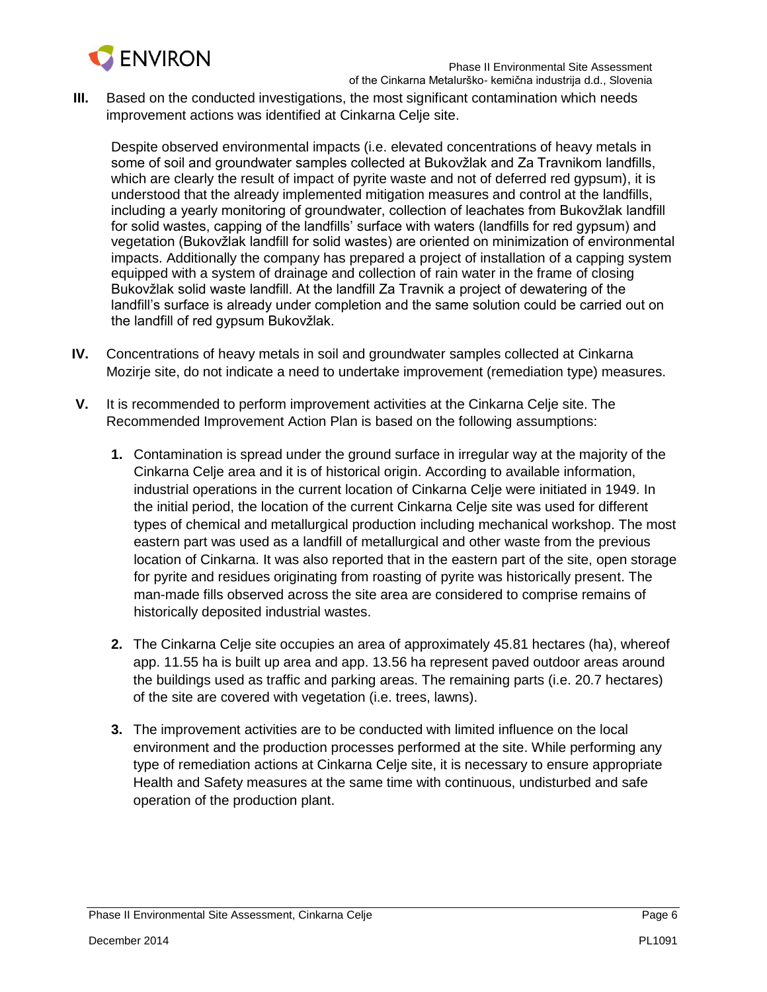

**III.** Based on the conducted investigations, the most significant contamination which needs improvement actions was identified at Cinkarna Celje site.

Despite observed environmental impacts (i.e. elevated concentrations of heavy metals in some of soil and groundwater samples collected at Bukovžlak and Za Travnikom landfills, which are clearly the result of impact of pyrite waste and not of deferred red gypsum), it is understood that the already implemented mitigation measures and control at the landfills, including a yearly monitoring of groundwater, collection of leachates from Bukovžlak landfill for solid wastes, capping of the landfills' surface with waters (landfills for red gypsum) and vegetation (Bukovžlak landfill for solid wastes) are oriented on minimization of environmental impacts. Additionally the company has prepared a project of installation of a capping system equipped with a system of drainage and collection of rain water in the frame of closing Bukovžlak solid waste landfill. At the landfill Za Travnik a project of dewatering of the landfill's surface is already under completion and the same solution could be carried out on the landfill of red gypsum Bukovžlak.

- **IV.** Concentrations of heavy metals in soil and groundwater samples collected at Cinkarna Mozirje site, do not indicate a need to undertake improvement (remediation type) measures.
- **V.** It is recommended to perform improvement activities at the Cinkarna Celje site. The Recommended Improvement Action Plan is based on the following assumptions:
	- **1.** Contamination is spread under the ground surface in irregular way at the majority of the Cinkarna Celje area and it is of historical origin. According to available information, industrial operations in the current location of Cinkarna Celje were initiated in 1949. In the initial period, the location of the current Cinkarna Celje site was used for different types of chemical and metallurgical production including mechanical workshop. The most eastern part was used as a landfill of metallurgical and other waste from the previous location of Cinkarna. It was also reported that in the eastern part of the site, open storage for pyrite and residues originating from roasting of pyrite was historically present. The man-made fills observed across the site area are considered to comprise remains of historically deposited industrial wastes.
	- **2.** The Cinkarna Celje site occupies an area of approximately 45.81 hectares (ha), whereof app. 11.55 ha is built up area and app. 13.56 ha represent paved outdoor areas around the buildings used as traffic and parking areas. The remaining parts (i.e. 20.7 hectares) of the site are covered with vegetation (i.e. trees, lawns).
	- **3.** The improvement activities are to be conducted with limited influence on the local environment and the production processes performed at the site. While performing any type of remediation actions at Cinkarna Celje site, it is necessary to ensure appropriate Health and Safety measures at the same time with continuous, undisturbed and safe operation of the production plant.

Phase II Environmental Site Assessment, Cinkarna Celje **Page 6** and Page 6 and Page 6 and Page 6 and Page 6 and Page 6 and Page 6 and Page 6 and Page 6 and Page 6 and Page 6 and Page 6 and Page 7 and Page 7 and Page 7 and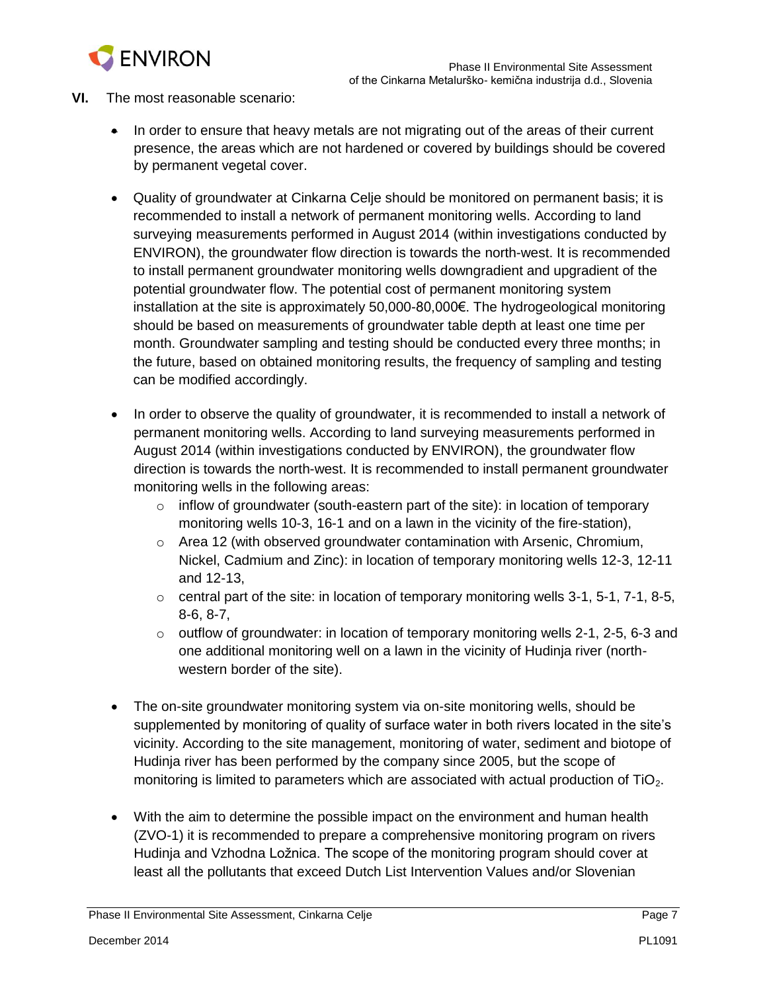

- **VI.** The most reasonable scenario:
	- In order to ensure that heavy metals are not migrating out of the areas of their current presence, the areas which are not hardened or covered by buildings should be covered by permanent vegetal cover.
	- Quality of groundwater at Cinkarna Celje should be monitored on permanent basis; it is recommended to install a network of permanent monitoring wells. According to land surveying measurements performed in August 2014 (within investigations conducted by ENVIRON), the groundwater flow direction is towards the north-west. It is recommended to install permanent groundwater monitoring wells downgradient and upgradient of the potential groundwater flow. The potential cost of permanent monitoring system installation at the site is approximately 50,000-80,000€. The hydrogeological monitoring should be based on measurements of groundwater table depth at least one time per month. Groundwater sampling and testing should be conducted every three months; in the future, based on obtained monitoring results, the frequency of sampling and testing can be modified accordingly.
	- In order to observe the quality of groundwater, it is recommended to install a network of permanent monitoring wells. According to land surveying measurements performed in August 2014 (within investigations conducted by ENVIRON), the groundwater flow direction is towards the north-west. It is recommended to install permanent groundwater monitoring wells in the following areas:
		- $\circ$  inflow of groundwater (south-eastern part of the site): in location of temporary monitoring wells 10-3, 16-1 and on a lawn in the vicinity of the fire-station),
		- $\circ$  Area 12 (with observed groundwater contamination with Arsenic, Chromium, Nickel, Cadmium and Zinc): in location of temporary monitoring wells 12-3, 12-11 and 12-13,
		- $\circ$  central part of the site: in location of temporary monitoring wells 3-1, 5-1, 7-1, 8-5, 8-6, 8-7,
		- o outflow of groundwater: in location of temporary monitoring wells 2-1, 2-5, 6-3 and one additional monitoring well on a lawn in the vicinity of Hudinja river (northwestern border of the site).
	- The on-site groundwater monitoring system via on-site monitoring wells, should be supplemented by monitoring of quality of surface water in both rivers located in the site's vicinity. According to the site management, monitoring of water, sediment and biotope of Hudinja river has been performed by the company since 2005, but the scope of monitoring is limited to parameters which are associated with actual production of  $TiO<sub>2</sub>$ .
	- With the aim to determine the possible impact on the environment and human health (ZVO-1) it is recommended to prepare a comprehensive monitoring program on rivers Hudinja and Vzhodna Ložnica. The scope of the monitoring program should cover at least all the pollutants that exceed Dutch List Intervention Values and/or Slovenian